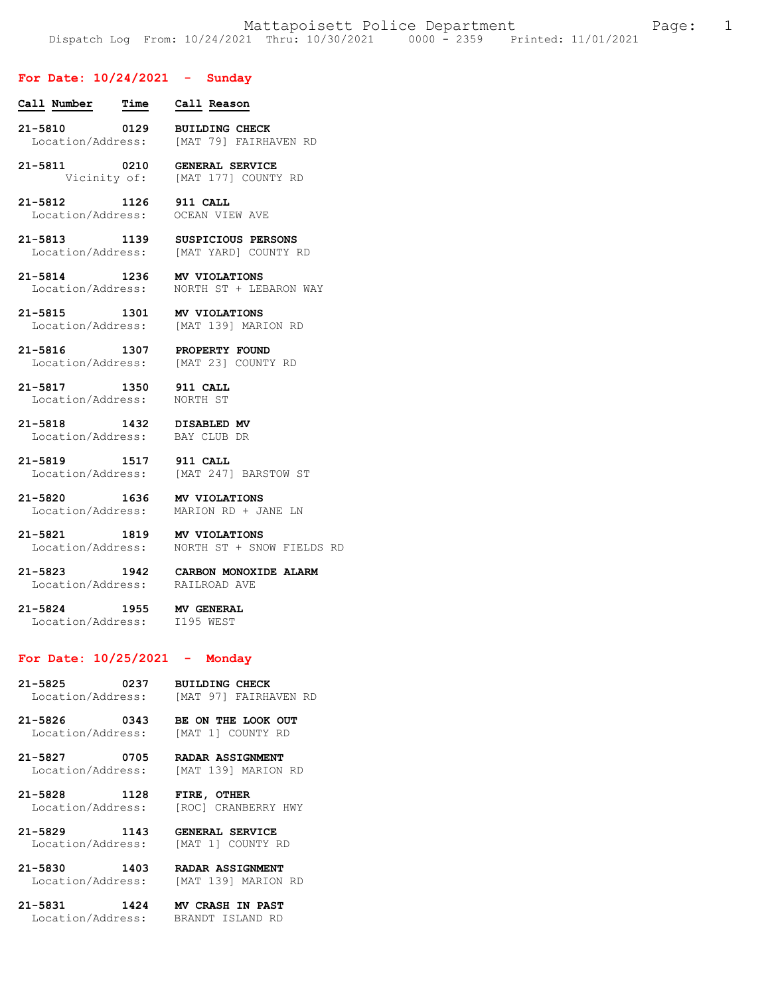## **For Date: 10/24/2021 - Sunday**

- **Call Number Time Call Reason 21-5810 0129 BUILDING CHECK**  Location/Address: [MAT 79] FAIRHAVEN RD
- **21-5811 0210 GENERAL SERVICE**  Vicinity of: [MAT 177] COUNTY RD
- **21-5812 1126 911 CALL**  Location/Address: OCEAN VIEW AVE
- **21-5813 1139 SUSPICIOUS PERSONS**  [MAT YARD] COUNTY RD
- **21-5814 1236 MV VIOLATIONS**  NORTH ST + LEBARON WAY
- **21-5815 1301 MV VIOLATIONS**  Location/Address: [MAT 139] MARION RD
- **21-5816 1307 PROPERTY FOUND**  Location/Address: [MAT 23] COUNTY RD
- **21-5817 1350 911 CALL**  Location/Address: NORTH ST
- **21-5818 1432 DISABLED MV**  Location/Address:
- **21-5819 1517 911 CALL**  Location/Address: [MAT 247] BARSTOW ST
- **21-5820 1636 MV VIOLATIONS**  MARION RD + JANE LN
- **21-5821 1819 MV VIOLATIONS**  Location/Address: NORTH ST + SNOW FIELDS RD
- **21-5823 1942 CARBON MONOXIDE ALARM**  Location/Address:
- **21-5824 1955 MV GENERAL**  Location/Address:

## **For Date: 10/25/2021 - Monday**

- **21-5825 0237 BUILDING CHECK**  Location/Address: [MAT 97] FAIRHAVEN RD
- **21-5826 0343 BE ON THE LOOK OUT**  Location/Address: [MAT 1] COUNTY RD
- **21-5827 0705 RADAR ASSIGNMENT**  Location/Address: [MAT 139] MARION RD
- **21-5828 1128 FIRE, OTHER**  [ROC] CRANBERRY HWY
- **21-5829 1143 GENERAL SERVICE**  Location/Address: [MAT 1] COUNTY RD
- **21-5830 1403 RADAR ASSIGNMENT**  Location/Address: [MAT 139] MARION RD
- **21-5831 1424 MV CRASH IN PAST**  Location/Address: BRANDT ISLAND RD
-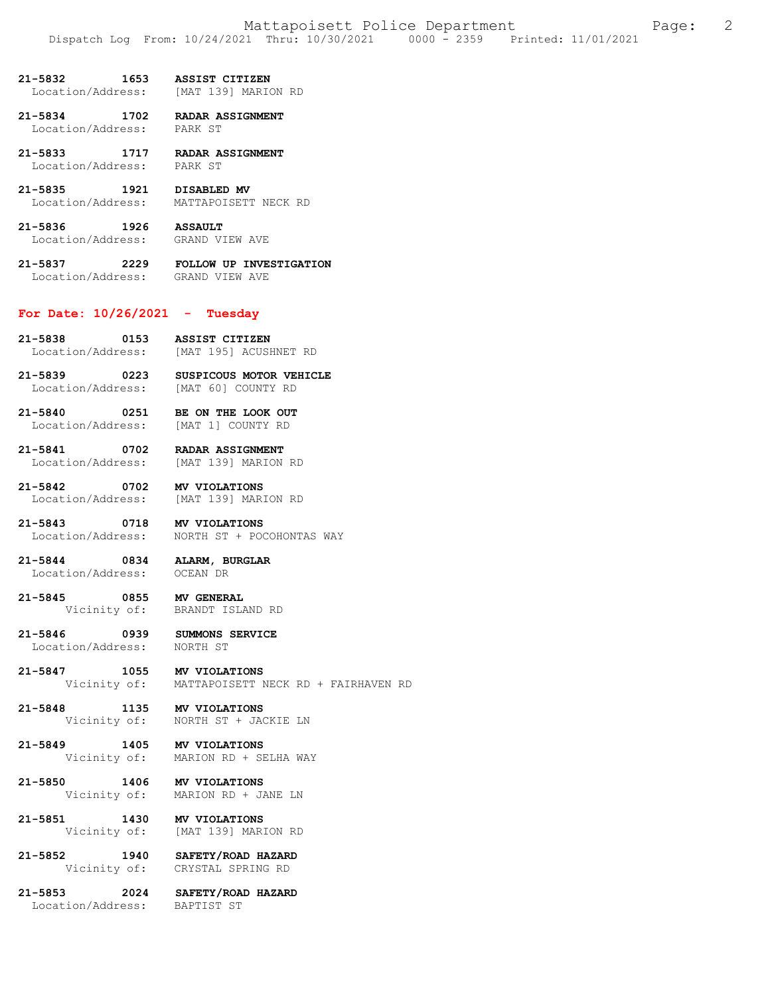**21-5832 1653 ASSIST CITIZEN**  Location/Address:

**21-5834 1702 RADAR ASSIGNMENT**  Location/Address: PARK ST

**21-5833 1717 RADAR ASSIGNMENT**  Location/Address:

**21-5835 1921 DISABLED MV**  Location/Address: MATTAPOISETT NECK RD

**21-5836 1926 ASSAULT**  Location/Address: GRAND VIEW AVE

**21-5837 2229 FOLLOW UP INVESTIGATION**  Location/Address: GRAND VIEW AVE

### **For Date: 10/26/2021 - Tuesday**

- **21-5838 0153 ASSIST CITIZEN**  Location/Address: [MAT 195] ACUSHNET RD
- **21-5839 0223 SUSPICOUS MOTOR VEHICLE**  Location/Address: [MAT 60] COUNTY RD

**21-5840 0251 BE ON THE LOOK OUT**  Location/Address:

**21-5841 0702 RADAR ASSIGNMENT**  Location/Address:

**21-5842 0702 MV VIOLATIONS**  Location/Address: [MAT 139] MARION RD

**21-5843 0718 MV VIOLATIONS**  Location/Address: NORTH ST + POCOHONTAS WAY

**21-5844 0834 ALARM, BURGLAR**  Location/Address: OCEAN DR

**21-5845 0855 MV GENERAL**  BRANDT ISLAND RD

**21-5846 0939 SUMMONS SERVICE**  Location/Address:

**21-5847 1055 MV VIOLATIONS**  Vicinity of: MATTAPOISETT NECK RD + FAIRHAVEN RD

**21-5848 1135 MV VIOLATIONS**  NORTH ST + JACKIE LN

**21-5849 1405 MV VIOLATIONS**  Vicinity of: MARION RD + SELHA WAY

**21-5850 1406 MV VIOLATIONS**  MARION RD + JANE LN

**21-5851 1430 MV VIOLATIONS**  Vicinity of: [MAT 139] MARION RD

**21-5852 1940 SAFETY/ROAD HAZARD**  CRYSTAL SPRING RD

**21-5853 2024 SAFETY/ROAD HAZARD**  Location/Address: BAPTIST ST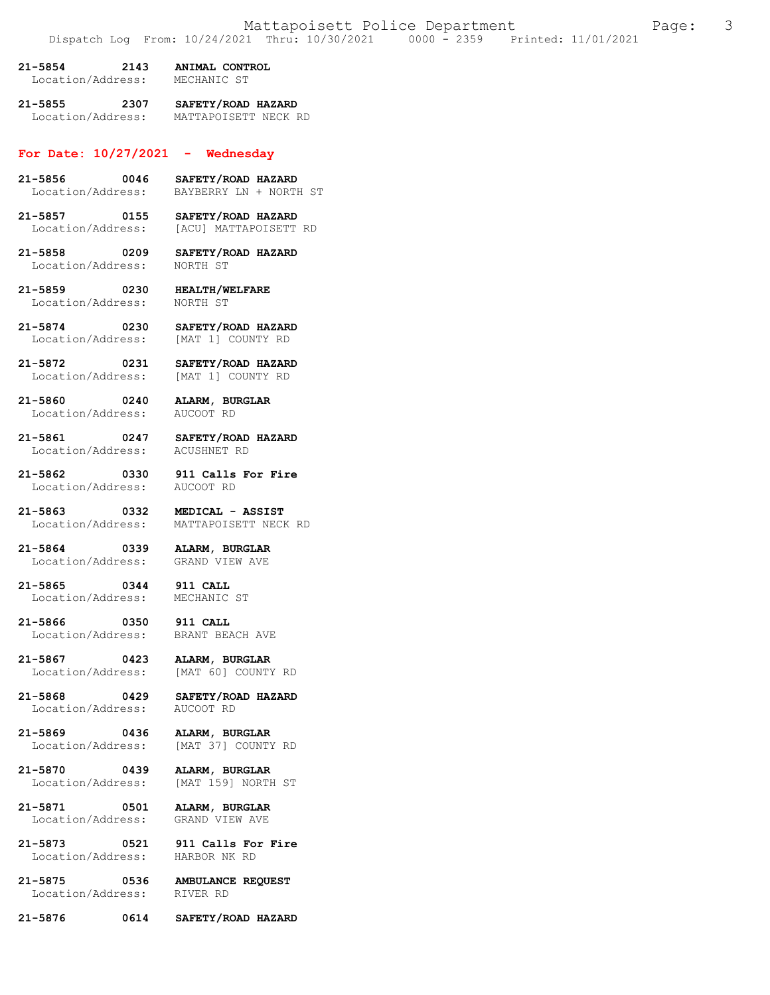| 21-5854           | 2143 | ANIMAL CONTROL |
|-------------------|------|----------------|
| Location/Address: |      | MECHANIC ST    |

**21-5855 2307 SAFETY/ROAD HAZARD**  Location/Address: MATTAPOISETT NECK RD

# **For Date: 10/27/2021 - Wednesday**

- **21-5856 0046 SAFETY/ROAD HAZARD**  BAYBERRY LN + NORTH ST
- **21-5857 0155 SAFETY/ROAD HAZARD**  Location/Address: [ACU] MATTAPOISETT RD
- **21-5858 0209 SAFETY/ROAD HAZARD**  Location/Address: NORTH ST
- **21-5859 0230 HEALTH/WELFARE**  Location/Address:
- **21-5874 0230 SAFETY/ROAD HAZARD**  Location/Address:
- **21-5872 0231 SAFETY/ROAD HAZARD**
- **21-5860 0240 ALARM, BURGLAR**  Location/Address:

[MAT 1] COUNTY RD

- **21-5861 0247 SAFETY/ROAD HAZARD**  Location/Address:
- **21-5862 0330 911 Calls For Fire**  Location/Address: AUCOOT RD
- **21-5863 0332 MEDICAL ASSIST**  MATTAPOISETT NECK RD
- **21-5864 0339 ALARM, BURGLAR**  Location/Address:
- **21-5865 0344 911 CALL**  Location/Address:
- **21-5866 0350 911 CALL**  Location/Address:
- **21-5867 0423 ALARM, BURGLAR**  Location/Address: [MAT 60] COUNTY RD
- **21-5868 0429 SAFETY/ROAD HAZARD**  Location/Address:
- **21-5869 0436 ALARM, BURGLAR**
- **21-5870 0439 ALARM, BURGLAR**
- **21-5871 0501 ALARM, BURGLAR**  Location/Address: GRAND VIEW AVE
- Location/Address:
- **21-5873 0521 911 Calls For Fire**

[MAT 37] COUNTY RD

[MAT 159] NORTH ST

**21-5875 0536 AMBULANCE REQUEST**  Location/Address: RIVER RD

#### **21-5876 0614 SAFETY/ROAD HAZARD**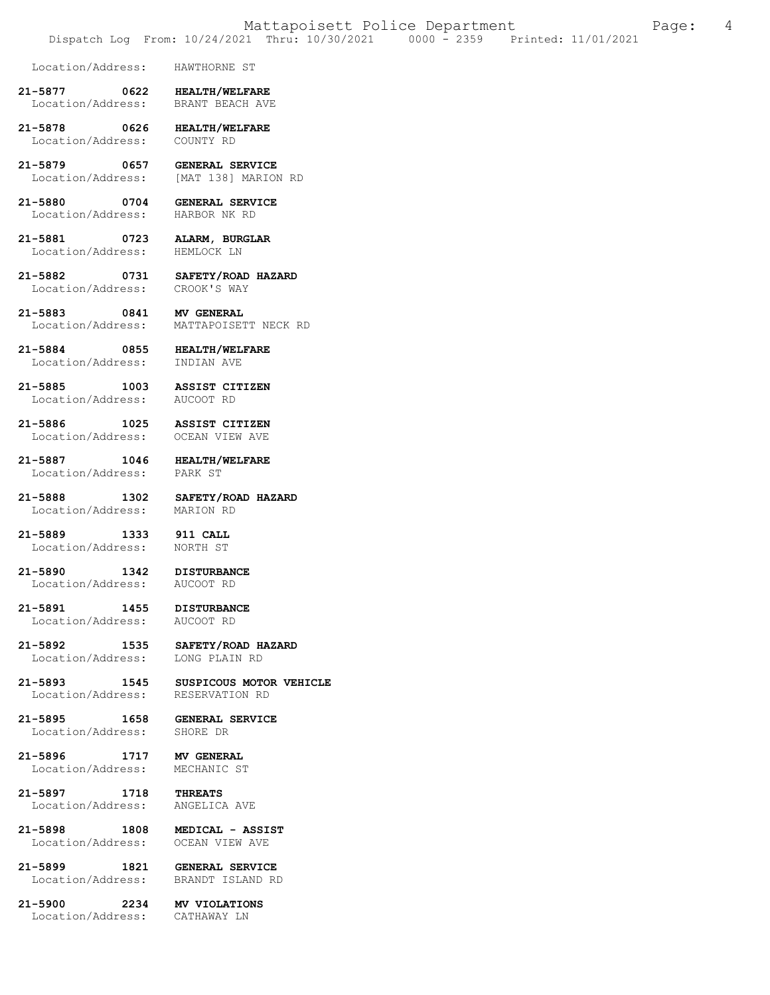Location/Address: HAWTHORNE ST

**21-5877 0622 HEALTH/WELFARE**  Location/Address:

**21-5878 0626 HEALTH/WELFARE**  Location/Address: COUNTY RD

**21-5879 0657 GENERAL SERVICE**  [MAT 138] MARION RD

**21-5880 0704 GENERAL SERVICE**  Location/Address: HARBOR NK RD

**21-5881 0723 ALARM, BURGLAR**  Location/Address: HEMLOCK LN

**21-5882 0731 SAFETY/ROAD HAZARD**  Location/Address:

**21-5883 0841 MV GENERAL**  Location/Address: MATTAPOISETT NECK RD

**21-5884 0855 HEALTH/WELFARE**  Location/Address:

**21-5885 1003 ASSIST CITIZEN** 

Location/Address:

**21-5886 1025 ASSIST CITIZEN**  Location/Address: OCEAN VIEW AVE

**21-5887 1046 HEALTH/WELFARE**  Location/Address: PARK ST

**21-5888 1302 SAFETY/ROAD HAZARD**  Location/Address:

**21-5889 1333 911 CALL**  Location/Address:

**21-5890 1342 DISTURBANCE**  Location/Address: AUCOOT RD

**21-5891 1455 DISTURBANCE** 

Location/Address:

**21-5892 1535 SAFETY/ROAD HAZARD**  Location/Address:

**21-5893 1545 SUSPICOUS MOTOR VEHICLE**  Location/Address:

**21-5895 1658 GENERAL SERVICE**  Location/Address:

**21-5896 1717 MV GENERAL**  Location/Address: MECHANIC ST

**21-5897 1718 THREATS**  Location/Address: ANGELICA AVE

**21-5898 1808 MEDICAL - ASSIST**  Location/Address:

**21-5899 1821 GENERAL SERVICE**  BRANDT ISLAND RD

**21-5900 2234 MV VIOLATIONS**  Location/Address: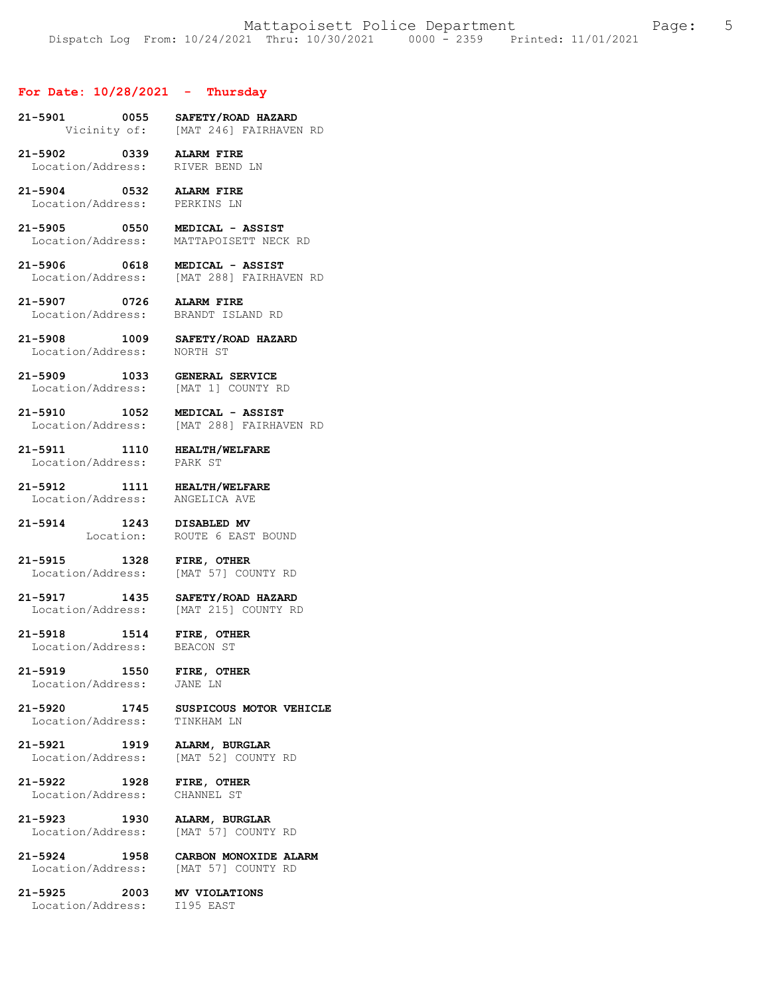#### **For Date: 10/28/2021 - Thursday**

- **21-5901 0055 SAFETY/ROAD HAZARD**  Vicinity of: [MAT 246] FAIRHAVEN RD
- **21-5902 0339 ALARM FIRE**  Location/Address: RIVER BEND LN
- **21-5904 0532 ALARM FIRE**  Location/Address:
- **21-5905 0550 MEDICAL ASSIST**  Location/Address: MATTAPOISETT NECK RD
- **21-5906 0618 MEDICAL ASSIST**  Location/Address: [MAT 288] FAIRHAVEN RD
- **21-5907 0726 ALARM FIRE**  Location/Address: BRANDT ISLAND RD
- **21-5908 1009 SAFETY/ROAD HAZARD**  Location/Address:
- **21-5909 1033 GENERAL SERVICE**  Location/Address: [MAT 1] COUNTY RD
- **21-5910 1052 MEDICAL ASSIST**  Location/Address: [MAT 288] FAIRHAVEN RD
- **21-5911 1110 HEALTH/WELFARE**  Location/Address:
	-
- **21-5912 1111 HEALTH/WELFARE**  Location/Address: ANGELICA AVE
- **21-5914 1243 DISABLED MV**  Location: ROUTE 6 EAST BOUND
- **21-5915 1328 FIRE, OTHER**  Location/Address: [MAT 57] COUNTY RD
- **21-5917 1435 SAFETY/ROAD HAZARD**  [MAT 215] COUNTY RD
- **21-5918 1514 FIRE, OTHER**  Location/Address:
- **21-5919 1550 FIRE, OTHER**  Location/Address:
	-
- **21-5920 1745 SUSPICOUS MOTOR VEHICLE**  Location/Address:
- **21-5921 1919 ALARM, BURGLAR**  Location/Address: [MAT 52] COUNTY RD
- **21-5922 1928 FIRE, OTHER**  Location/Address:
- **21-5923 1930 ALARM, BURGLAR**  Location/Address: [MAT 57] COUNTY RD
- **21-5924 1958 CARBON MONOXIDE ALARM**  [MAT 57] COUNTY RD
- **21-5925 2003 MV VIOLATIONS**  Location/Address: I195 EAST
-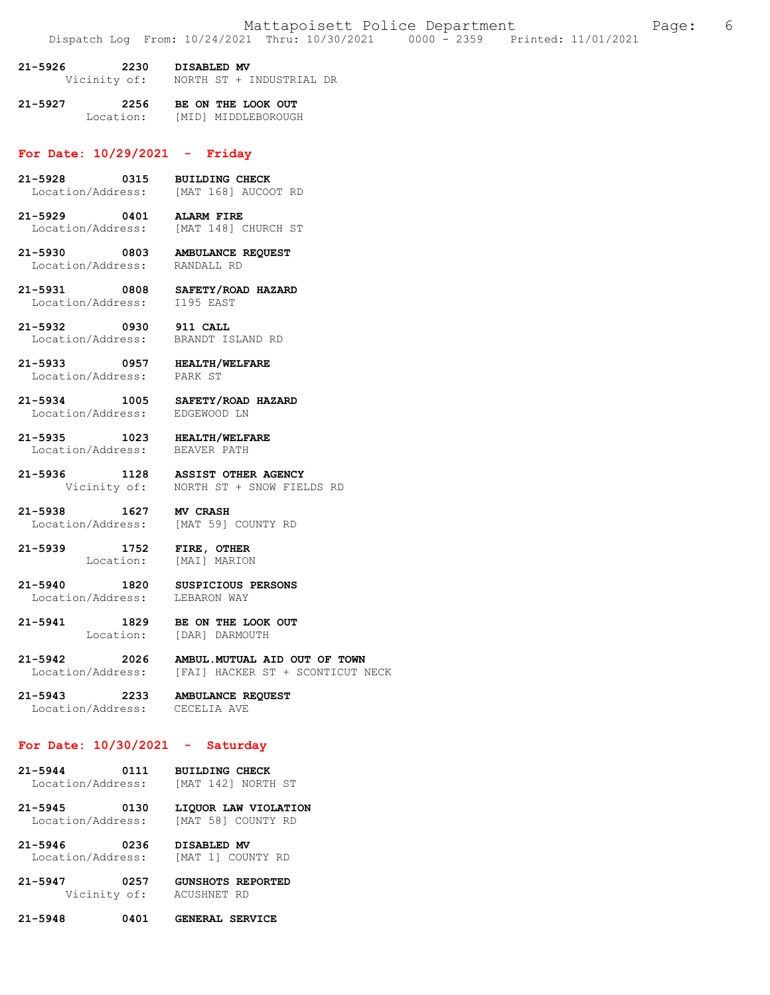| 21-5926      | 2230 | DISABLED MV |  |                          |  |
|--------------|------|-------------|--|--------------------------|--|
| Vicinity of: |      |             |  | NORTH ST + INDUSTRIAL DR |  |

**21-5927 2256 BE ON THE LOOK OUT**  Location: [MID] MIDDLEBOROUGH

# **For Date: 10/29/2021 - Friday**

- **21-5928 0315 BUILDING CHECK**  Location/Address: [MAT 168] AUCOOT RD
- **21-5929 0401 ALARM FIRE**  [MAT 148] CHURCH ST
- **21-5930 0803 AMBULANCE REQUEST**  Location/Address: RANDALL RD
- **21-5931 0808 SAFETY/ROAD HAZARD**  Location/Address:
- **21-5932 0930 911 CALL**  Location/Address:
- **21-5933 0957 HEALTH/WELFARE**  Location/Address:
- **21-5934 1005 SAFETY/ROAD HAZARD**  Location/Address:
- **21-5935 1023 HEALTH/WELFARE**  Location/Address: BEAVER PATH
- **21-5936 1128 ASSIST OTHER AGENCY**  Vicinity of: NORTH ST + SNOW FIELDS RD
- **21-5938 1627 MV CRASH**<br>
Location/Address: [MAT 59] [MAT 59] COUNTY RD
- **21-5939 1752 FIRE, OTHER**  [MAI] MARION
- **21-5940 1820 SUSPICIOUS PERSONS**  Location/Address:
- **21-5941 1829 BE ON THE LOOK OUT**  Location: [DAR] DARMOUTH
- **21-5942 2026 AMBUL.MUTUAL AID OUT OF TOWN**  Location/Address: [FAI] HACKER ST + SCONTICUT NECK
- **21-5943 2233 AMBULANCE REQUEST**  Location/Address:

## **For Date: 10/30/2021 - Saturday**

- **21-5944 0111 BUILDING CHECK**  Location/Address:
- **21-5945 0130 LIQUOR LAW VIOLATION**  Location/Address:
- **21-5946 0236 DISABLED MV**  Location/Address: [MAT 1] COUNTY RD
- **21-5947 0257 GUNSHOTS REPORTED**  Vicinity of:
- **21-5948 0401 GENERAL SERVICE**